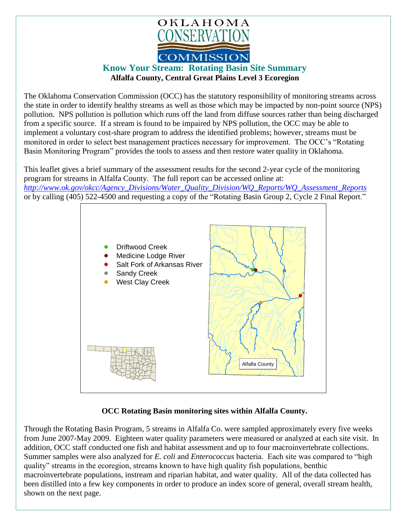

## **Know Your Stream: Rotating Basin Site Summary Alfalfa County, Central Great Plains Level 3 Ecoregion**

The Oklahoma Conservation Commission (OCC) has the statutory responsibility of monitoring streams across the state in order to identify healthy streams as well as those which may be impacted by non-point source (NPS) pollution. NPS pollution is pollution which runs off the land from diffuse sources rather than being discharged from a specific source. If a stream is found to be impaired by NPS pollution, the OCC may be able to implement a voluntary cost-share program to address the identified problems; however, streams must be monitored in order to select best management practices necessary for improvement. The OCC's "Rotating Basin Monitoring Program" provides the tools to assess and then restore water quality in Oklahoma.

This leaflet gives a brief summary of the assessment results for the second 2-year cycle of the monitoring program for streams in Alfalfa County. The full report can be accessed online at: *[http://www.ok.gov/okcc/Agency\\_Divisions/Water\\_Quality\\_Division/WQ\\_Reports/WQ\\_Assessment\\_Reports](http://www.ok.gov/okcc/Agency_Divisions/Water_Quality_Division/WQ_Reports/WQ_Assessment_Reports)* or by calling (405) 522-4500 and requesting a copy of the "Rotating Basin Group 2, Cycle 2 Final Report."



## **OCC Rotating Basin monitoring sites within Alfalfa County.**

Through the Rotating Basin Program, 5 streams in Alfalfa Co. were sampled approximately every five weeks from June 2007-May 2009. Eighteen water quality parameters were measured or analyzed at each site visit. In addition, OCC staff conducted one fish and habitat assessment and up to four macroinvertebrate collections. Summer samples were also analyzed for *E. coli* and *Enterococcus* bacteria. Each site was compared to "high quality" streams in the ecoregion, streams known to have high quality fish populations, benthic macroinvertebrate populations, instream and riparian habitat, and water quality. All of the data collected has been distilled into a few key components in order to produce an index score of general, overall stream health, shown on the next page.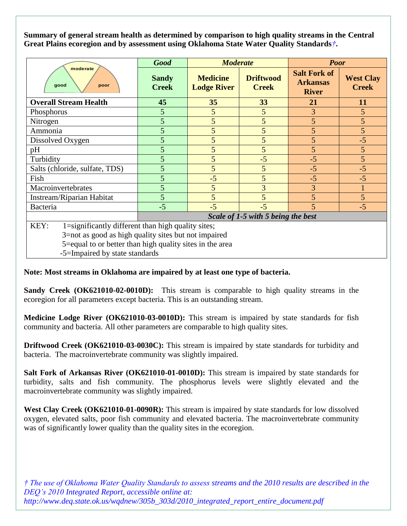**Summary of general stream health as determined by comparison to high quality streams in the Central Great Plains ecoregion and by assessment using Oklahoma State Water Quality Standards***†***.**

| moderate<br>good<br>poor                                   | <b>Good</b>                        | <b>Moderate</b>                       |                                  | <b>Poor</b>                                            |                                  |
|------------------------------------------------------------|------------------------------------|---------------------------------------|----------------------------------|--------------------------------------------------------|----------------------------------|
|                                                            | <b>Sandy</b><br><b>Creek</b>       | <b>Medicine</b><br><b>Lodge River</b> | <b>Driftwood</b><br><b>Creek</b> | <b>Salt Fork of</b><br><b>Arkansas</b><br><b>River</b> | <b>West Clay</b><br><b>Creek</b> |
| <b>Overall Stream Health</b>                               | 45                                 | 35                                    | 33                               | 21                                                     | <b>11</b>                        |
| Phosphorus                                                 | 5                                  | 5                                     | 5                                | 3                                                      | 5 <sup>5</sup>                   |
| Nitrogen                                                   | 5                                  | 5                                     | 5                                | 5                                                      | 5                                |
| Ammonia                                                    | 5                                  | 5                                     | 5                                | 5                                                      | 5                                |
| Dissolved Oxygen                                           | 5                                  | 5                                     | 5                                | 5                                                      | $-5$                             |
| pH                                                         | 5                                  | 5                                     | 5                                | 5                                                      | 5                                |
| Turbidity                                                  | 5                                  | 5                                     | $-5$                             | $-5$                                                   | 5                                |
| Salts (chloride, sulfate, TDS)                             | 5                                  | 5                                     | 5                                | $-5$                                                   | $-5$                             |
| Fish                                                       | 5                                  | $-5$                                  | 5                                | $-5$                                                   | $-5$                             |
| Macroinvertebrates                                         | 5                                  | 5                                     | 3                                | 3                                                      |                                  |
| Instream/Riparian Habitat                                  | 5                                  | 5                                     | 5                                | 5                                                      | 5 <sup>5</sup>                   |
| Bacteria                                                   | $-5$                               | $-5$                                  | $-5$                             | 5                                                      | $-5$                             |
|                                                            | Scale of 1-5 with 5 being the best |                                       |                                  |                                                        |                                  |
| KEY:<br>1=significantly different than high quality sites; |                                    |                                       |                                  |                                                        |                                  |
| 3=not as good as high quality sites but not impaired       |                                    |                                       |                                  |                                                        |                                  |
| 5=equal to or better than high quality sites in the area   |                                    |                                       |                                  |                                                        |                                  |

-5=Impaired by state standards

## **Note: Most streams in Oklahoma are impaired by at least one type of bacteria.**

**Sandy Creek (OK621010-02-0010D):** This stream is comparable to high quality streams in the ecoregion for all parameters except bacteria. This is an outstanding stream.

**Medicine Lodge River (OK621010-03-0010D):** This stream is impaired by state standards for fish community and bacteria. All other parameters are comparable to high quality sites.

**Driftwood Creek (OK621010-03-0030C):** This stream is impaired by state standards for turbidity and bacteria. The macroinvertebrate community was slightly impaired.

**Salt Fork of Arkansas River (OK621010-01-0010D):** This stream is impaired by state standards for turbidity, salts and fish community. The phosphorus levels were slightly elevated and the macroinvertebrate community was slightly impaired.

**West Clay Creek (OK621010-01-0090R):** This stream is impaired by state standards for low dissolved oxygen, elevated salts, poor fish community and elevated bacteria. The macroinvertebrate community was of significantly lower quality than the quality sites in the ecoregion.

*† The use of Oklahoma Water Quality Standards to assess streams and the 2010 results are described in the DEQ's 2010 Integrated Report, accessible online at: http://www.deq.state.ok.us/wqdnew/305b\_303d/2010\_integrated\_report\_entire\_document.pdf*